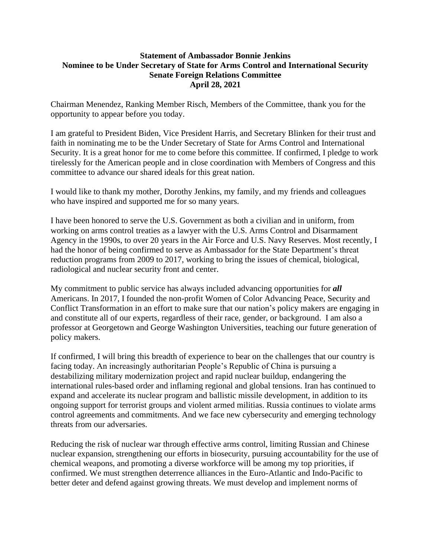## **Statement of Ambassador Bonnie Jenkins Nominee to be Under Secretary of State for Arms Control and International Security Senate Foreign Relations Committee April 28, 2021**

Chairman Menendez, Ranking Member Risch, Members of the Committee, thank you for the opportunity to appear before you today.

I am grateful to President Biden, Vice President Harris, and Secretary Blinken for their trust and faith in nominating me to be the Under Secretary of State for Arms Control and International Security. It is a great honor for me to come before this committee. If confirmed, I pledge to work tirelessly for the American people and in close coordination with Members of Congress and this committee to advance our shared ideals for this great nation.

I would like to thank my mother, Dorothy Jenkins, my family, and my friends and colleagues who have inspired and supported me for so many years.

I have been honored to serve the U.S. Government as both a civilian and in uniform, from working on arms control treaties as a lawyer with the U.S. Arms Control and Disarmament Agency in the 1990s, to over 20 years in the Air Force and U.S. Navy Reserves. Most recently, I had the honor of being confirmed to serve as Ambassador for the State Department's threat reduction programs from 2009 to 2017, working to bring the issues of chemical, biological, radiological and nuclear security front and center.

My commitment to public service has always included advancing opportunities for *all* Americans. In 2017, I founded the non-profit Women of Color Advancing Peace, Security and Conflict Transformation in an effort to make sure that our nation's policy makers are engaging in and constitute all of our experts, regardless of their race, gender, or background. I am also a professor at Georgetown and George Washington Universities, teaching our future generation of policy makers.

If confirmed, I will bring this breadth of experience to bear on the challenges that our country is facing today. An increasingly authoritarian People's Republic of China is pursuing a destabilizing military modernization project and rapid nuclear buildup, endangering the international rules-based order and inflaming regional and global tensions. Iran has continued to expand and accelerate its nuclear program and ballistic missile development, in addition to its ongoing support for terrorist groups and violent armed militias. Russia continues to violate arms control agreements and commitments. And we face new cybersecurity and emerging technology threats from our adversaries.

Reducing the risk of nuclear war through effective arms control, limiting Russian and Chinese nuclear expansion, strengthening our efforts in biosecurity, pursuing accountability for the use of chemical weapons, and promoting a diverse workforce will be among my top priorities, if confirmed. We must strengthen deterrence alliances in the Euro-Atlantic and Indo-Pacific to better deter and defend against growing threats. We must develop and implement norms of